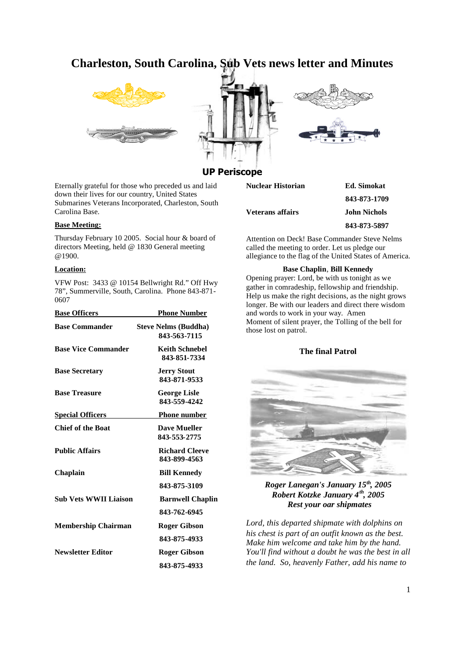# **Charleston, South Carolina, Sub Vets news letter and Minutes**







# **UP Perisco**

Eternally grateful for those who preceded us and laid down their lives for our country, United States Submarines Veterans Incorporated, Charleston, South Carolina Base.

#### **Base Meeting:**

Thursday February 10 2005. Social hour & board of directors Meeting, held @ 1830 General meeting @1900.

#### **Location:**

VFW Post: 3433 @ 10154 Bellwright Rd." Off Hwy 78", Summerville, South, Carolina. Phone 843-871- 0607

| <b>Base Officers</b>         | <b>Phone Number</b>                         |
|------------------------------|---------------------------------------------|
| <b>Base Commander</b>        | <b>Steve Nelms (Buddha)</b><br>843-563-7115 |
| <b>Base Vice Commander</b>   | <b>Keith Schnebel</b><br>843-851-7334       |
| <b>Base Secretary</b>        | <b>Jerry Stout</b><br>843-871-9533          |
| <b>Base Treasure</b>         | <b>George Lisle</b><br>843-559-4242         |
| <b>Special Officers</b>      | <b>Phone number</b>                         |
| <b>Chief of the Boat</b>     | <b>Dave Mueller</b><br>843-553-2775         |
| <b>Public Affairs</b>        | <b>Richard Cleeve</b><br>843-899-4563       |
| Chaplain                     | <b>Bill Kennedy</b>                         |
|                              | 843-875-3109                                |
| <b>Sub Vets WWII Liaison</b> | <b>Barnwell Chaplin</b>                     |
|                              | 843-762-6945                                |
| <b>Membership Chairman</b>   | <b>Roger Gibson</b>                         |
|                              | 843-875-4933                                |
| <b>Newsletter Editor</b>     | Roger Gibson                                |
|                              | 843-875-4933                                |

| υμσ                                        |                     |
|--------------------------------------------|---------------------|
| Nuclear Historian                          | Ed. Simokat         |
|                                            | 843-873-1709        |
| <b>Veterans affairs</b>                    | <b>John Nichols</b> |
|                                            | 843-873-5897        |
| Attention on Deckl Rase Commander Steve No |                     |

Attention on Deck! Base Commander Steve Nelms called the meeting to order. Let us pledge our allegiance to the flag of the United States of America.

#### **Base Chaplin**, **Bill Kennedy**

Opening prayer: Lord, be with us tonight as we gather in comradeship, fellowship and friendship. Help us make the right decisions, as the night grows longer. Be with our leaders and direct there wisdom and words to work in your way. Amen Moment of silent prayer, the Tolling of the bell for those lost on patrol.

### **The final Patrol**



*Roger Lanegan's January 15th, 2005 Robert Kotzke January 4th, 2005 Rest your oar shipmates*

*Lord, this departed shipmate with dolphins on his chest is part of an outfit known as the best. Make him welcome and take him by the hand. You'll find without a doubt he was the best in all the land. So, heavenly Father, add his name to*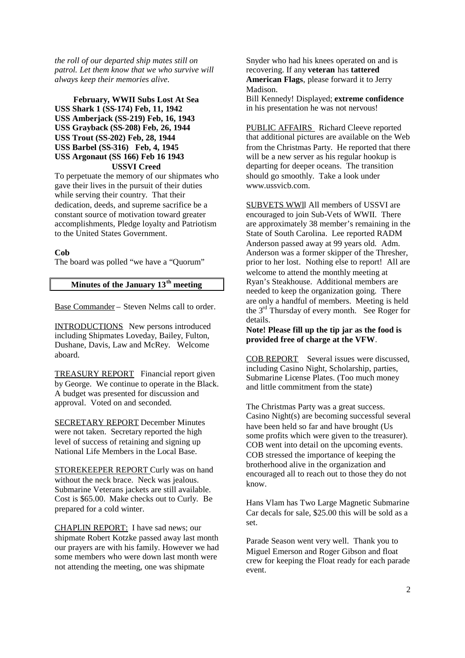*the roll of our departed ship mates still on patrol. Let them know that we who survive will always keep their memories alive.*

**February, WWII Subs Lost At Sea USS Shark 1 (SS-174) Feb, 11, 1942 USS Amberjack (SS-219) Feb, 16, 1943 USS Grayback (SS-208) Feb, 26, 1944 USS Trout (SS-202) Feb, 28, 1944 USS Barbel (SS-316) Feb, 4, 1945 USS Argonaut (SS 166) Feb 16 1943 USSVI Creed**

To perpetuate the memory of our shipmates who gave their lives in the pursuit of their duties while serving their country. That their dedication, deeds, and supreme sacrifice be a constant source of motivation toward greater accomplishments, Pledge loyalty and Patriotism to the United States Government.

# **Cob**

The board was polled "we have a "Quorum"

# **Minutes of the January 13th meeting**

Base Commander – Steven Nelms call to order.

INTRODUCTIONS New persons introduced including Shipmates Loveday, Bailey, Fulton, Dushane, Davis, Law and McRey. Welcome aboard.

TREASURY REPORT Financial report given by George. We continue to operate in the Black. A budget was presented for discussion and approval. Voted on and seconded.

SECRETARY REPORT December Minutes were not taken. Secretary reported the high level of success of retaining and signing up National Life Members in the Local Base.

STOREKEEPER REPORT Curly was on hand without the neck brace. Neck was jealous. Submarine Veterans jackets are still available. Cost is \$65.00. Make checks out to Curly. Be prepared for a cold winter.

CHAPLIN REPORT: I have sad news; our shipmate Robert Kotzke passed away last month our prayers are with his family. However we had some members who were down last month were not attending the meeting, one was shipmate

Snyder who had his knees operated on and is recovering. If any **veteran** has **tattered American Flags**, please forward it to Jerry Madison.

Bill Kennedy! Displayed; **extreme confidence** in his presentation he was not nervous!

PUBLIC AFFAIRS Richard Cleeve reported that additional pictures are available on the Web from the Christmas Party. He reported that there will be a new server as his regular hookup is departing for deeper oceans. The transition should go smoothly. Take a look under www.ussvich.com<sup>2</sup>

SUBVETS WWll All members of USSVI are encouraged to join Sub-Vets of WWII. There are approximately 38 member's remaining in the State of South Carolina. Lee reported RADM Anderson passed away at 99 years old. Adm. Anderson was a former skipper of the Thresher, prior to her lost. Nothing else to report! All are welcome to attend the monthly meeting at Ryan's Steakhouse. Additional members are needed to keep the organization going. There are only a handful of members. Meeting is held the  $3<sup>rd</sup>$  Thursday of every month. See Roger for details.

**Note! Please fill up the tip jar as the food is provided free of charge at the VFW**.

COB REPORT Several issues were discussed, including Casino Night, Scholarship, parties, Submarine License Plates. (Too much money and little commitment from the state)

The Christmas Party was a great success. Casino Night(s) are becoming successful several have been held so far and have brought (Us some profits which were given to the treasurer). COB went into detail on the upcoming events. COB stressed the importance of keeping the brotherhood alive in the organization and encouraged all to reach out to those they do not know.

Hans Vlam has Two Large Magnetic Submarine Car decals for sale, \$25.00 this will be sold as a set.

Parade Season went very well. Thank you to Miguel Emerson and Roger Gibson and float crew for keeping the Float ready for each parade event.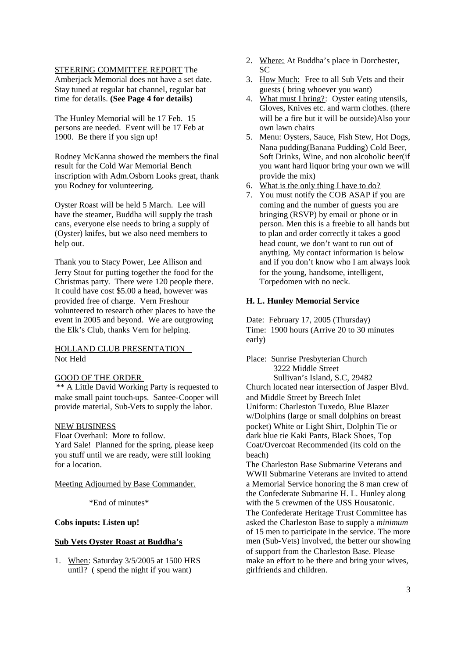#### STEERING COMMITTEE REPORT The

Amberjack Memorial does not have a set date. Stay tuned at regular bat channel, regular bat time for details. **(See Page 4 for details)**

The Hunley Memorial will be 17 Feb. 15 persons are needed. Event will be 17 Feb at 1900. Be there if you sign up!

Rodney McKanna showed the members the final result for the Cold War Memorial Bench inscription with Adm.Osborn Looks great, thank you Rodney for volunteering.

Oyster Roast will be held 5 March. Lee will have the steamer, Buddha will supply the trash cans, everyone else needs to bring a supply of (Oyster) knifes, but we also need members to help out.

Thank you to Stacy Power, Lee Allison and Jerry Stout for putting together the food for the Christmas party. There were 120 people there. It could have cost \$5.00 a head, however was provided free of charge. Vern Freshour volunteered to research other places to have the event in 2005 and beyond. We are outgrowing the Elk's Club, thanks Vern for helping.

# HOLLAND CLUB PRESENTATION Not Held

# GOOD OF THE ORDER

\*\* A Little David Working Party is requested to make small paint touch-ups. Santee-Cooper will provide material, Sub-Vets to supply the labor.

# NEW BUSINESS

Float Overhaul: More to follow.

Yard Sale! Planned for the spring, please keep you stuff until we are ready, were still looking for a location.

#### Meeting Adjourned by Base Commander.

\*End of minutes\*

### **Cobs inputs: Listen up!**

# **Sub Vets Oyster Roast at Buddha's**

1. When: Saturday 3/5/2005 at 1500 HRS until? ( spend the night if you want)

- 2. Where: At Buddha's place in Dorchester,  $SC$
- 3. How Much: Free to all Sub Vets and their guests ( bring whoever you want)
- 4. What must I bring?: Oyster eating utensils, Gloves, Knives etc. and warm clothes. (there will be a fire but it will be outside)Also your own lawn chairs
- 5. Menu: Oysters, Sauce, Fish Stew, Hot Dogs, Nana pudding(Banana Pudding) Cold Beer, Soft Drinks, Wine, and non alcoholic beer(if you want hard liquor bring your own we will provide the mix)
- 6. What is the only thing I have to do?
- 7. You must notify the COB ASAP if you are coming and the number of guests you are bringing (RSVP) by email or phone or in person. Men this is a freebie to all hands but to plan and order correctly it takes a good head count, we don't want to run out of anything. My contact information is below and if you don't know who I am always look for the young, handsome, intelligent, Torpedomen with no neck.

#### **H. L. Hunley Memorial Service**

Date: February 17, 2005 (Thursday) Time: 1900 hours (Arrive 20 to 30 minutes early)

Place: Sunrise Presbyterian Church 3222 Middle Street Sullivan's Island, S.C, 29482

Church located near intersection of Jasper Blvd. and Middle Street by Breech Inlet Uniform: Charleston Tuxedo, Blue Blazer w/Dolphins (large or small dolphins on breast pocket) White or Light Shirt, Dolphin Tie or dark blue tie Kaki Pants, Black Shoes, Top Coat/Overcoat Recommended (its cold on the beach)

The Charleston Base Submarine Veterans and WWII Submarine Veterans are invited to attend a Memorial Service honoring the 8 man crew of the Confederate Submarine H. L. Hunley along with the 5 crewmen of the USS Housatonic.

The Confederate Heritage Trust Committee has asked the Charleston Base to supply a *minimum* of 15 men to participate in the service. The more men (Sub-Vets) involved, the better our showing of support from the Charleston Base. Please make an effort to be there and bring your wives, girlfriends and children.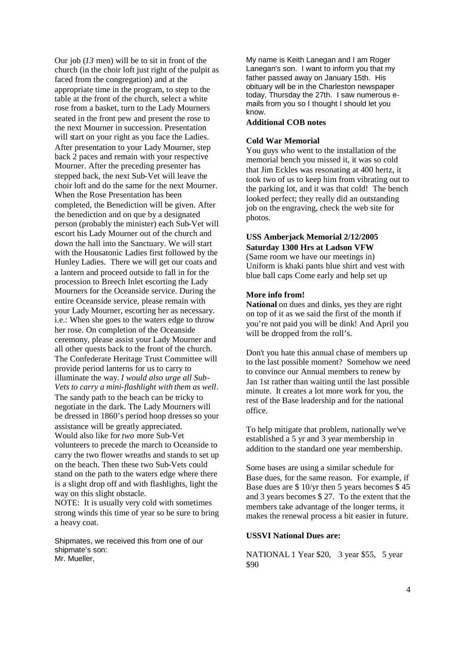Our job (*13* men) will be to sit in front of the church (in the choir loft just right of the pulpit as faced from the congregation) and at the appropriate time in the program, to step to the table at the front of the church, select a white rose from a basket, turn to the Lady Mourners seated in the front pew and present the rose to the next Mourner in succession. Presentation will start on your right as you face the Ladies. After presentation to your Lady Mourner, step back 2 paces and remain with your respective Mourner. After the preceding presenter has stepped back, the next Sub-Vet will leave the choir loft and do the same for the next Mourner. When the Rose Presentation has been completed, the Benediction will be given. After the benediction and on que by a designated person (probably the minister) each Sub-Vet will escort his Lady Mourner out of the church and down the hall into the Sanctuary. We will start with the Housatonic Ladies first followed by the Hunley Ladies. There we will get our coats and a lantern and proceed outside to fall in for the procession to Breech Inlet escorting the Lady Mourners for the Oceanside service. During the entire Oceanside service, please remain with your Lady Mourner, escorting her as necessary. i.e.: When she goes to the waters edge to throw her rose. On completion of the Oceanside ceremony, please assist your Lady Mourner and all other quests back to the front of the church. The Confederate Heritage Trust Committee will provide period lanterns for us to carry to illuminate the way. *I would also urge all Sub-Vets to carry a mini-flashlight with them as well*. The sandy path to the beach can be tricky to negotiate in the dark. The Lady Mourners will be dressed in 1860's period hoop dresses so your assistance will be greatly appreciated. Would also like for *two* more Sub-Vet volunteers to precede the march to Oceanside to carry the two flower wreaths and stands to set up on the beach. Then these two Sub-Vets could stand on the path to the waters edge where there is a slight drop off and with flashlights, light the way on this slight obstacle.

NOTE: It is usually very cold with sometimes strong winds this time of year so be sure to bring a heavy coat.

Shipmates, we received this from one of our shipmate's son: Mr. Mueller,

My name is Keith Lanegan and I am Roger Lanegan's son. I want to inform you that my father passed away on January 15th. His obituary will be in the Charleston newspaper today, Thursday the 27th. I saw numerous emails from you so I thought I should let you know.

#### **Additional COB notes**

# **Cold War Memorial**

You guys who went to the installation of the memorial bench you missed it, it was so cold that Jim Eckles was resonating at 400 hertz, it took two of us to keep him from vibrating out to the parking lot, and it was that cold! The bench looked perfect; they really did an outstanding job on the engraving, check the web site for photos.

# **USS Amberjack Memorial 2/12/2005 Saturday 1300 Hrs at Ladson VFW**

(Same room we have our meetings in) Uniform is khaki pants blue shirt and vest with blue ball caps Come early and help set up

### **More info from!**

**National** on dues and dinks, yes they are right on top of it as we said the first of the month if you're not paid you will be dink! And April you will be dropped from the roll's.

Don't you hate this annual chase of members up to the last possible moment? Somehow we need to convince our Annual members to renew by Jan 1st rather than waiting until the last possible minute. It creates a lot more work for you, the rest of the Base leadership and for the national office.

To help mitigate that problem, nationally we've established a 5 yr and 3 year membership in addition to the standard one year membership.

Some bases are using a similar schedule for Base dues, for the same reason. For example, if Base dues are \$ 10/yr then 5 years becomes \$ 45 and 3 years becomes \$ 27. To the extent that the members take advantage of the longer terms, it makes the renewal process a bit easier in future.

# **USSVI National Dues are:**

NATIONAL 1 Year \$20, 3 year \$55, 5 year \$90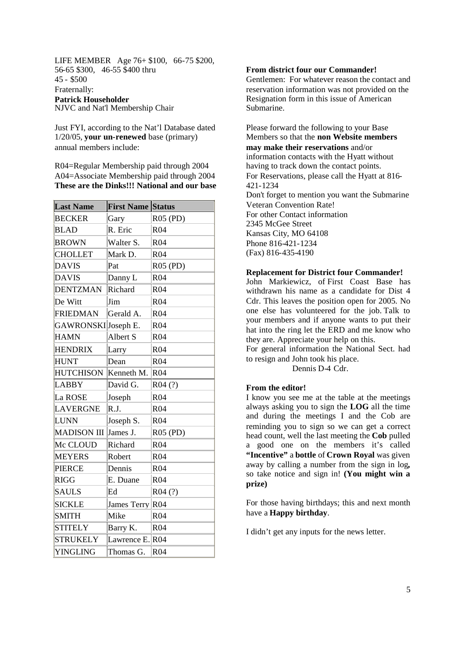LIFE MEMBER Age 76+ \$100, 66-75 \$200, 56-65 \$300, 46-55 \$400 thru 45 - \$500 Fraternally: **Patrick Householder** NJVC and Nat'l Membership Chair

Just FYI, according to the Nat'l Database dated 1/20/05, **your un-renewed** base (primary) annual members include:

R04=Regular Membership paid through 2004 A04=Associate Membership paid through 2004 **These are the Dinks!!! National and our base**

| <b>Last Name</b>    | <b>First Name Status</b> |                 |
|---------------------|--------------------------|-----------------|
| <b>BECKER</b>       | Gary                     | R05 (PD)        |
| BLAD                | R. Eric                  | R04             |
| <b>BROWN</b>        | Walter S.                | R04             |
| <b>CHOLLET</b>      | Mark D.                  | R04             |
| <b>DAVIS</b>        | Pat                      | R05 (PD)        |
| <b>DAVIS</b>        | Danny L                  | R <sub>04</sub> |
| <b>DENTZMAN</b>     | Richard                  | R <sub>04</sub> |
| De Witt             | Jim                      | R04             |
| <b>FRIEDMAN</b>     | Gerald A.                | R04             |
| GAWRONSKIJJoseph E. |                          | R <sub>04</sub> |
| <b>HAMN</b>         | Albert S                 | R <sub>04</sub> |
| <b>HENDRIX</b>      | Larry                    | R <sub>04</sub> |
| <b>HUNT</b>         | Dean                     | R04             |
| <b>HUTCHISON</b>    | Kenneth M.               | R04             |
| <b>LABBY</b>        | David G.                 | R04(?)          |
| La ROSE             | Joseph                   | R04             |
| <b>LAVERGNE</b>     | R.J.                     | R04             |
| <b>LUNN</b>         | Joseph S.                | R <sub>04</sub> |
| <b>MADISON III</b>  | James J.                 | R05 (PD)        |
| Mc CLOUD            | Richard                  | R <sub>04</sub> |
| <b>MEYERS</b>       | Robert                   | R04             |
| <b>PIERCE</b>       | Dennis                   | R <sub>04</sub> |
| <b>RIGG</b>         | E. Duane                 | R04             |
| <b>SAULS</b>        | Ed                       | R04(?)          |
| <b>SICKLE</b>       | <b>James Terry</b>       | R <sub>04</sub> |
| <b>SMITH</b>        | Mike                     | R <sub>04</sub> |
| <b>STITELY</b>      | Barry K.                 | R04             |
| <b>STRUKELY</b>     | Lawrence E. R04          |                 |
| <b>YINGLING</b>     | Thomas G.                | R <sub>04</sub> |

## **From district four our Commander!**

Gentlemen: For whatever reason the contact and reservation information was not provided on the Resignation form in this issue of American Submarine.

Please forward the following to your Base Members so that the **non Website members may make their reservations** and/or information contacts with the Hyatt without having to track down the contact points. For Reservations, please call the Hyatt at 816- 421-1234 Don't forget to mention you want the Submarine Veteran Convention Rate! For other Contact information 2345 McGee Street Kansas City, MO 64108 Phone 816-421-1234 (Fax) 816-435-4190

#### **Replacement for District four Commander!**

John Markiewicz, of First Coast Base has withdrawn his name as a candidate for Dist 4 Cdr. This leaves the position open for 2005. No one else has volunteered for the job. Talk to your members and if anyone wants to put their hat into the ring let the ERD and me know who they are. Appreciate your help on this.

For general information the National Sect. had to resign and John took his place.

Dennis D-4 Cdr.

#### **From the editor!**

I know you see me at the table at the meetings always asking you to sign the **LOG** all the time and during the meetings I and the Cob are reminding you to sign so we can get a correct head count, well the last meeting the **Cob** pulled a good one on the members it's called **"Incentive"** a **bottle** of **Crown Royal** was given away by calling a number from the sign in log**,** so take notice and sign in! **(You might win a prize)**

For those having birthdays; this and next month have a **Happy birthday**.

I didn't get any inputs for the news letter.